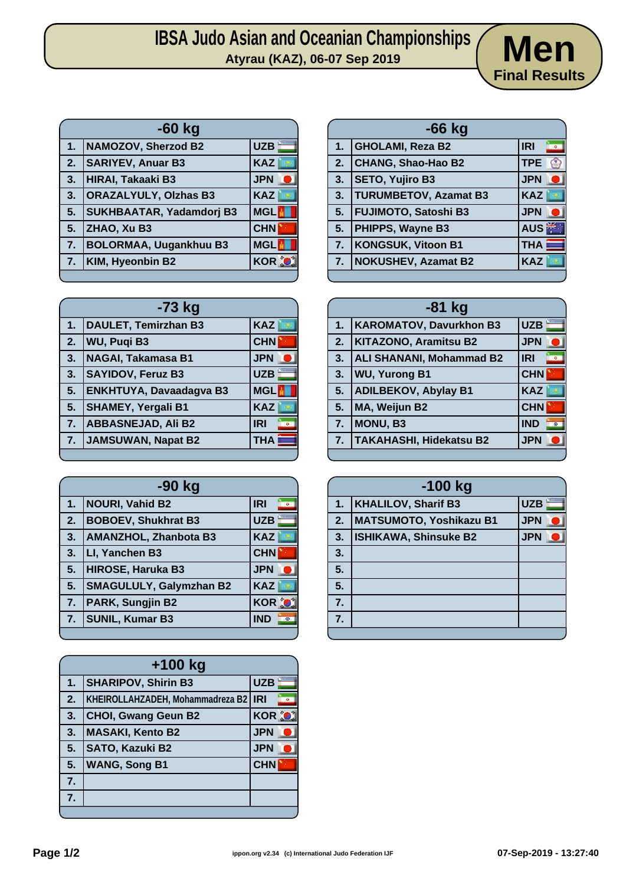| <b>Men</b> |                      |  |
|------------|----------------------|--|
|            | <b>Final Results</b> |  |

| -60 kg                                            |                                 |            |
|---------------------------------------------------|---------------------------------|------------|
| $1 -$                                             | NAMOZOV, Sherzod B2             | <b>UZB</b> |
| $\begin{array}{ c } \hline 2. \hline \end{array}$ | <b>SARIYEV, Anuar B3</b>        | <b>KAZ</b> |
| $\vert 3.$                                        | HIRAI, Takaaki B3               | <b>JPN</b> |
| 3.                                                | <b>ORAZALYULY, Olzhas B3</b>    | KAZ        |
| 5.                                                | <b>SUKHBAATAR, Yadamdorj B3</b> | <b>MGL</b> |
| 5.                                                | <b>ZHAO, Xu B3</b>              | <b>CHN</b> |
| $\overline{7}$ .                                  | <b>BOLORMAA, Uugankhuu B3</b>   | MGL        |
| $\overline{7}$ .                                  | KIM, Hyeonbin B2                | KOR O      |
|                                                   |                                 |            |

| -73 kg |                                |            |  |
|--------|--------------------------------|------------|--|
| 1.     | <b>DAULET, Temirzhan B3</b>    | <b>KAZ</b> |  |
| 2.     | <b>WU, Pugi B3</b>             | <b>CHN</b> |  |
| 3.     | <b>NAGAI, Takamasa B1</b>      | <b>JPN</b> |  |
| 3.     | <b>SAYIDOV, Feruz B3</b>       | <b>UZB</b> |  |
| 5.     | <b>ENKHTUYA, Davaadagva B3</b> | <b>MGL</b> |  |
| 5.     | <b>SHAMEY, Yergali B1</b>      | <b>KAZ</b> |  |
| 7.     | <b>ABBASNEJAD, Ali B2</b>      | <b>IRI</b> |  |
| 7.     | <b>JAMSUWAN, Napat B2</b>      | <b>THA</b> |  |

| -90 kg |                                |              |
|--------|--------------------------------|--------------|
| 1.     | <b>NOURI, Vahid B2</b>         | <b>IRI</b>   |
| 2.     | <b>BOBOEV, Shukhrat B3</b>     | <b>UZB</b>   |
| 3.     | AMANZHOL, Zhanbota B3          | <b>KAZ</b>   |
| 3.     | LI, Yanchen B3                 | <b>CHN</b>   |
| 5.     | HIROSE, Haruka B3              | <b>JPN</b>   |
| 5.     | <b>SMAGULULY, Galymzhan B2</b> | <b>KAZ</b>   |
| 7.     | PARK, Sungjin B2               | <b>KOR C</b> |
| 7.     | <b>SUNIL, Kumar B3</b>         | <b>IND</b>   |
|        |                                |              |

|    | $+100$ kg                        |                 |  |
|----|----------------------------------|-----------------|--|
| 1. | <b>SHARIPOV, Shirin B3</b>       | <b>UZB</b>      |  |
| 2. | KHEIROLLAHZADEH, Mohammadreza B2 | <b>IRI</b><br>۰ |  |
| 3. | <b>CHOI, Gwang Geun B2</b>       | <b>KOR O</b>    |  |
| 3. | <b>MASAKI, Kento B2</b>          | <b>JPN</b>      |  |
| 5. | SATO, Kazuki B2                  | <b>JPN</b>      |  |
| 5. | <b>WANG, Song B1</b>             | <b>CHN</b>      |  |
| 7. |                                  |                 |  |
| 7. |                                  |                 |  |
|    |                                  |                 |  |

| $-66$ kg       |                              |                         |  |
|----------------|------------------------------|-------------------------|--|
| 1 <sub>1</sub> | <b>GHOLAMI, Reza B2</b>      | <b>IRI</b><br>$\bullet$ |  |
| 2.             | <b>CHANG, Shao-Hao B2</b>    | TPE @                   |  |
| 3.             | SETO, Yujiro B3              | <b>JPN</b>              |  |
| 3.             | <b>TURUMBETOV, Azamat B3</b> | <b>KAZ</b>              |  |
| 5.             | <b>FUJIMOTO, Satoshi B3</b>  | <b>JPN</b>              |  |
| 5.             | <b>PHIPPS, Wayne B3</b>      | AUS <sup>¥</sup>        |  |
| 7.             | <b>KONGSUK, Vitoon B1</b>    | <b>THA</b>              |  |
| 7.             | <b>NOKUSHEV, Azamat B2</b>   | <b>KAZ</b>              |  |
|                |                              |                         |  |

| $-81$ kg |                                 |                         |
|----------|---------------------------------|-------------------------|
| 1.       | <b>KAROMATOV, Davurkhon B3</b>  | <b>UZB</b>              |
| 2.       | <b>KITAZONO, Aramitsu B2</b>    | <b>JPN</b>              |
| 3.       | <b>ALI SHANANI, Mohammad B2</b> | <b>IRI</b><br>$\bullet$ |
| 3.       | <b>WU, Yurong B1</b>            | <b>CHN</b>              |
| 5.       | <b>ADILBEKOV, Abylay B1</b>     | <b>KAZ</b>              |
| 5.       | MA, Weijun B2                   | <b>CHN</b>              |
| 7.       | MONU, B3                        | <b>IND</b><br>$\circ$   |
| 7.       | <b>TAKAHASHI, Hidekatsu B2</b>  | <b>JPN</b>              |
|          |                                 |                         |

| $-100$ kg |                                |            |
|-----------|--------------------------------|------------|
| 1.        | <b>KHALILOV, Sharif B3</b>     | <b>UZB</b> |
| 2.        | <b>MATSUMOTO, Yoshikazu B1</b> | <b>JPN</b> |
| 3.        | <b>ISHIKAWA, Shinsuke B2</b>   | <b>JPN</b> |
| 3.        |                                |            |
| 5.        |                                |            |
| 5.        |                                |            |
| 7.        |                                |            |
| 7.        |                                |            |
|           |                                |            |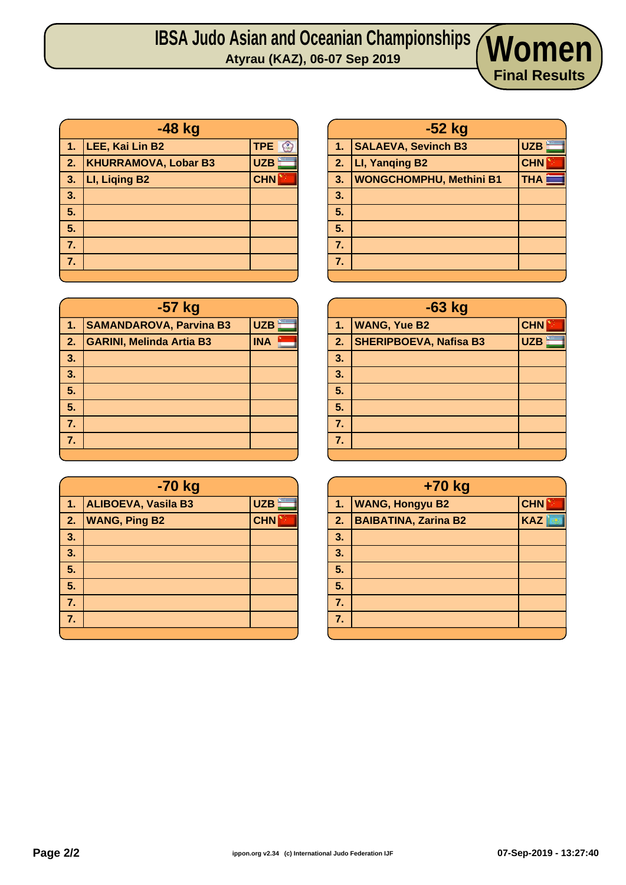| $-48$ kg |                             |                  |
|----------|-----------------------------|------------------|
| 1.       | LEE, Kai Lin B2             | TPE <sup>3</sup> |
| 2.       | <b>KHURRAMOVA, Lobar B3</b> | UZB              |
| 3.       | LI, Liqing B2               | <b>CHN</b>       |
| 3.       |                             |                  |
| 5.       |                             |                  |
| 5.       |                             |                  |
| 7.       |                             |                  |
| 7.       |                             |                  |
|          |                             |                  |

| -57 kg |                                 |            |  |
|--------|---------------------------------|------------|--|
| 1.     | <b>SAMANDAROVA, Parvina B3</b>  | <b>UZB</b> |  |
| 2.     | <b>GARINI, Melinda Artia B3</b> | <b>INA</b> |  |
| 3.     |                                 |            |  |
| 3.     |                                 |            |  |
| 5.     |                                 |            |  |
| 5.     |                                 |            |  |
| 7.     |                                 |            |  |
| 7.     |                                 |            |  |
|        |                                 |            |  |

|    | -70 kg                     |            |  |
|----|----------------------------|------------|--|
| 1. | <b>ALIBOEVA, Vasila B3</b> | <b>UZB</b> |  |
| 2. | <b>WANG, Ping B2</b>       | <b>CHN</b> |  |
| 3. |                            |            |  |
| 3. |                            |            |  |
| 5. |                            |            |  |
| 5. |                            |            |  |
| 7. |                            |            |  |
| 7. |                            |            |  |
|    |                            |            |  |

| $-52$ kg |                                |                    |
|----------|--------------------------------|--------------------|
| Æ        | <b>SALAEVA, Sevinch B3</b>     | <b>UZB</b>         |
| 2.       | LI, Yanging B2                 | <b>CHN</b>         |
| 3.       | <b>WONGCHOMPHU, Methini B1</b> | THA $\blacksquare$ |
| 3.       |                                |                    |
| 5.       |                                |                    |
| 5.       |                                |                    |
| 7.       |                                |                    |
| 7.       |                                |                    |
|          |                                |                    |

**Final Results**

|                  | $-63$ kg                      |            |  |  |  |  |  |  |
|------------------|-------------------------------|------------|--|--|--|--|--|--|
| 1.               | <b>WANG, Yue B2</b>           | <b>CHN</b> |  |  |  |  |  |  |
| 2.               | <b>SHERIPBOEVA, Nafisa B3</b> | <b>UZB</b> |  |  |  |  |  |  |
| 3.               |                               |            |  |  |  |  |  |  |
| 3.               |                               |            |  |  |  |  |  |  |
| $\overline{5}$ . |                               |            |  |  |  |  |  |  |
| 5.               |                               |            |  |  |  |  |  |  |
| 7.               |                               |            |  |  |  |  |  |  |
| 7.               |                               |            |  |  |  |  |  |  |
|                  |                               |            |  |  |  |  |  |  |

|    | $+70$ kg                    |            |  |  |  |  |  |
|----|-----------------------------|------------|--|--|--|--|--|
| 1. | <b>WANG, Hongyu B2</b>      | <b>CHN</b> |  |  |  |  |  |
| 2. | <b>BAIBATINA, Zarina B2</b> | <b>KAZ</b> |  |  |  |  |  |
| 3. |                             |            |  |  |  |  |  |
| 3. |                             |            |  |  |  |  |  |
| 5. |                             |            |  |  |  |  |  |
| 5. |                             |            |  |  |  |  |  |
| 7. |                             |            |  |  |  |  |  |
| 7. |                             |            |  |  |  |  |  |
|    |                             |            |  |  |  |  |  |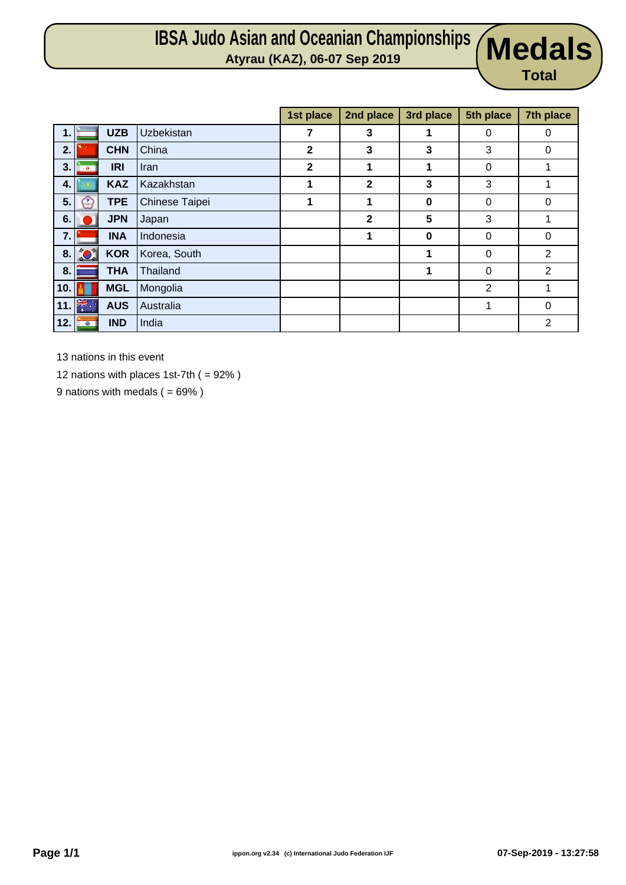# **IBSA Judo Asian and Oceanian Championships Atyrau (KAZ), 06-07 Sep 2019 Medals**



|     |              |            |                   | 1st place    | 2nd place    | 3rd place | 5th place      | 7th place      |
|-----|--------------|------------|-------------------|--------------|--------------|-----------|----------------|----------------|
| 1.  |              | <b>UZB</b> | <b>Uzbekistan</b> | 7            | $\mathbf{3}$ | 1         | 0              | 0              |
| 2.  |              | <b>CHN</b> | China             | 2            | 3            | 3         | 3              | 0              |
| 3.  | $\bullet$    | <b>IRI</b> | <b>Iran</b>       | $\mathbf{2}$ | 1            | 1         | 0              |                |
| 4.  |              | <b>KAZ</b> | Kazakhstan        | 1            | $\mathbf{2}$ | 3         | 3              |                |
| 5.  | $\mathbb{C}$ | <b>TPE</b> | Chinese Taipei    |              | 1            | 0         | 0              | 0              |
| 6.  |              | <b>JPN</b> | Japan             |              | $\mathbf{2}$ | 5         | 3              |                |
| 7.  |              | <b>INA</b> | Indonesia         |              | 1            | 0         | 0              | $\mathbf 0$    |
|     | 8.201        | <b>KOR</b> | Korea, South      |              |              | 1         | $\Omega$       | $\overline{2}$ |
| 8.  |              | <b>THA</b> | Thailand          |              |              | 1         | 0              | $\overline{2}$ |
| 10. |              | <b>MGL</b> | Mongolia          |              |              |           | $\overline{2}$ | 1              |
|     | 11. 米        | <b>AUS</b> | Australia         |              |              |           | 1              | 0              |
| 12. | $\circ$      | <b>IND</b> | India             |              |              |           |                | 2              |

13 nations in this event

12 nations with places 1st-7th ( = 92% )

9 nations with medals  $( = 69\%)$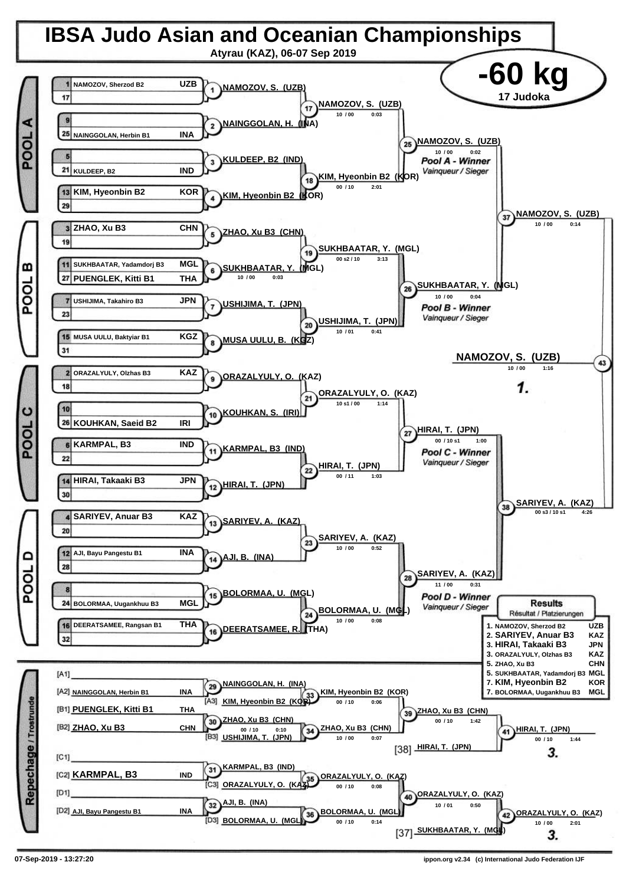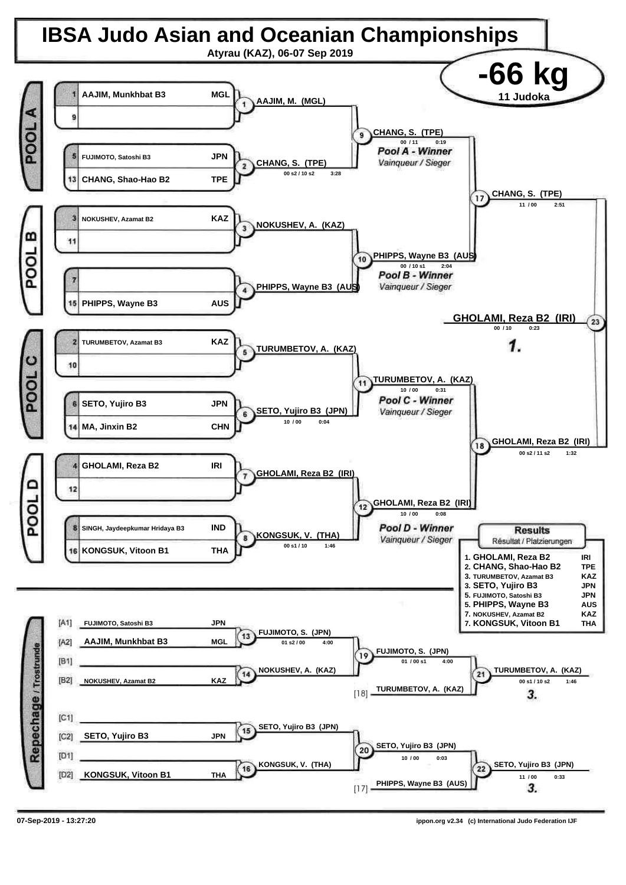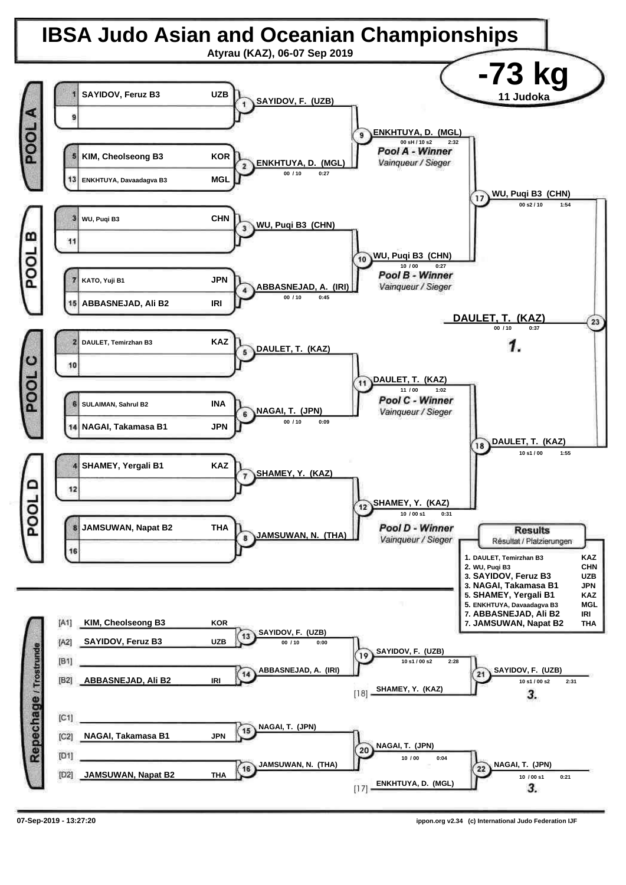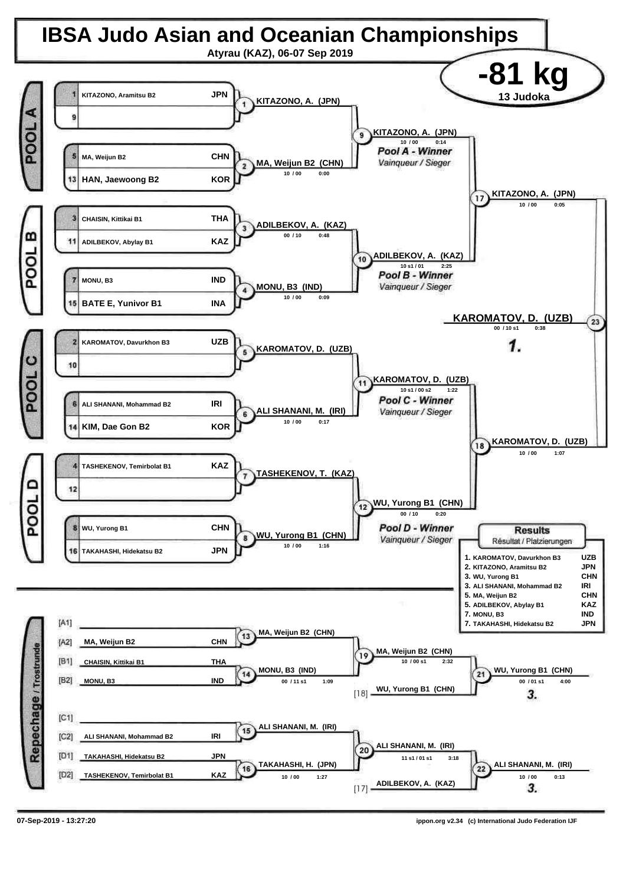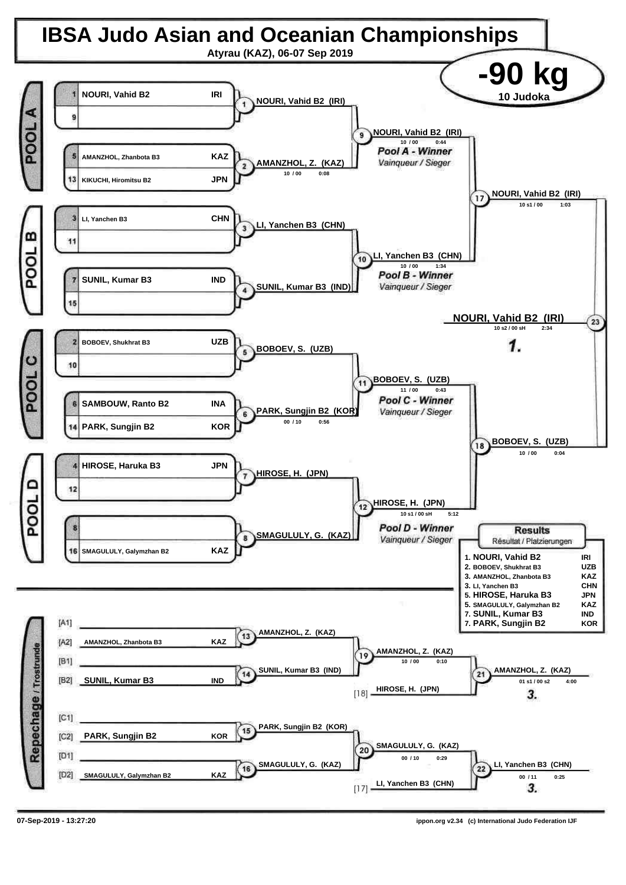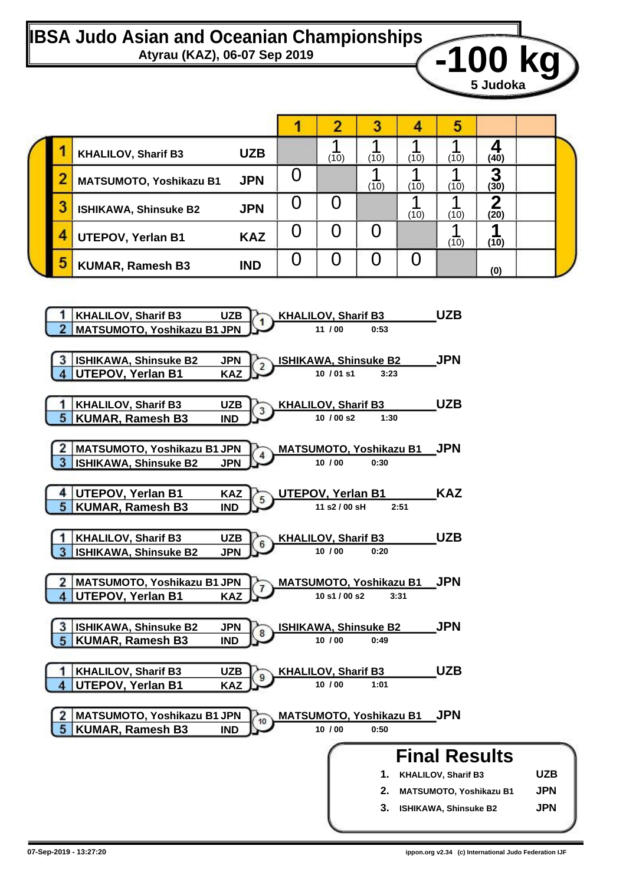## **IBSA Judo Asian and Oceanian Championships** Atyrau (KAZ), 06-07 Sep 2019<br>**42 Mars 100 KG**

|   |                                |            |   |      | n    |      | э    |           |  |
|---|--------------------------------|------------|---|------|------|------|------|-----------|--|
|   | <b>KHALILOV, Sharif B3</b>     | <b>UZB</b> |   | (10) | (10) | (10) | (10) | (40)      |  |
|   | <b>MATSUMOTO, Yoshikazu B1</b> | <b>JPN</b> |   |      | (10) | (10) | (10) | n<br>(30) |  |
| 3 | <b>ISHIKAWA, Shinsuke B2</b>   | <b>JPN</b> |   |      |      | (10) | (10) | (20)      |  |
|   | <b>UTEPOV, Yerlan B1</b>       | <b>KAZ</b> | U |      |      |      | (10) | (10)      |  |
| 5 | <b>KUMAR, Ramesh B3</b>        | <b>IND</b> |   |      |      |      |      | (0)       |  |

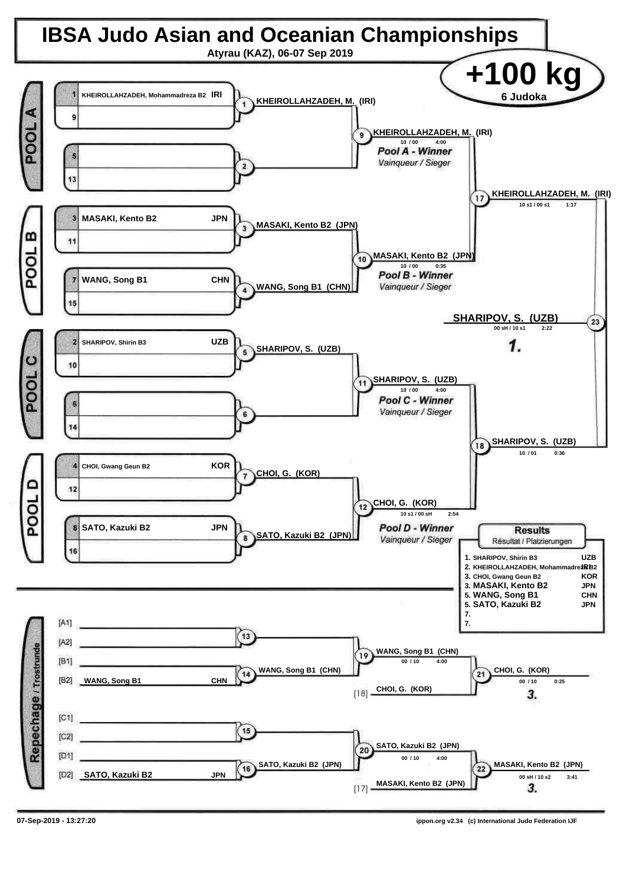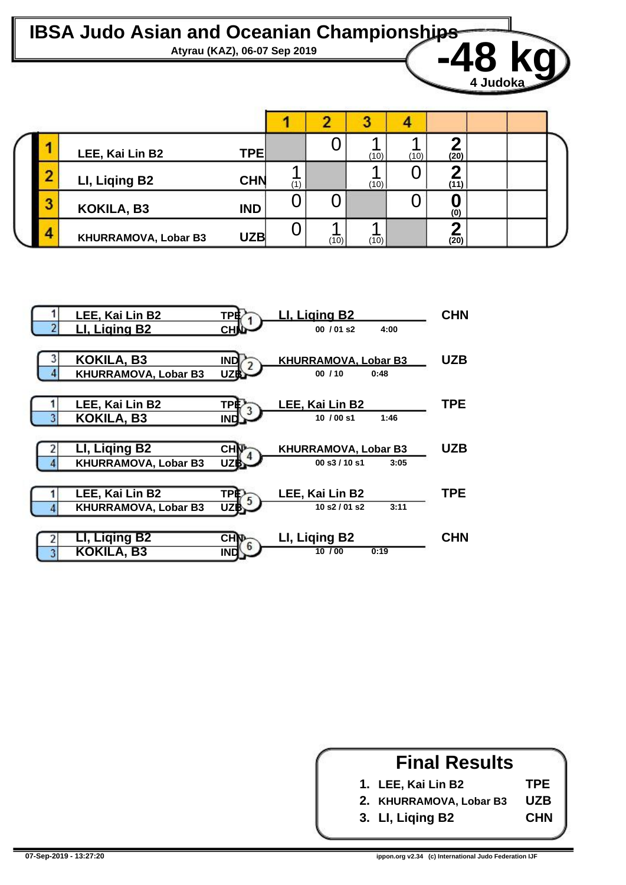

|   | LEE, Kai Lin B2             | TPE        |     |      | (10) | (10) | (20)           |  |  |
|---|-----------------------------|------------|-----|------|------|------|----------------|--|--|
|   | LI, Liqing B2               | <b>CHN</b> | (1) |      | (10) |      | (11)           |  |  |
| J | KOKILA, B3                  | <b>IND</b> | U   |      |      |      | $\overline{0}$ |  |  |
| л | <b>KHURRAMOVA, Lobar B3</b> | <b>UZB</b> |     | (10) | (10) |      | (20)           |  |  |



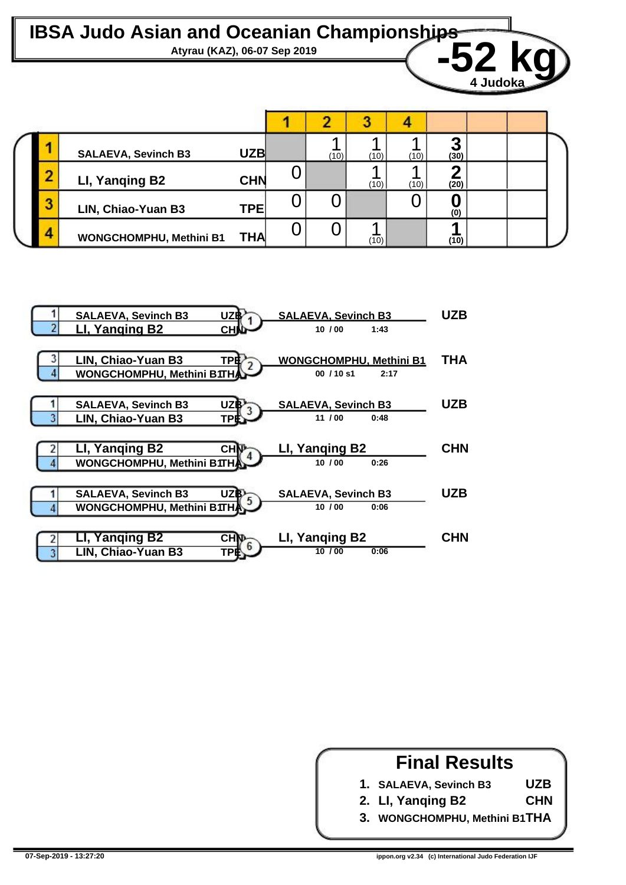Atyrau (KAZ), 06-07 Sep 2019<br> **Atyrau (KAZ), 06-07 Sep 2019** 

|   | <b>SALAEVA, Sevinch B3</b>     | <b>UZB</b> |   | (10) | (10) | (10) | (30) |  |
|---|--------------------------------|------------|---|------|------|------|------|--|
| œ | LI, Yanging B2                 | <b>CHN</b> |   |      | (10) | (10) | (20) |  |
| 3 | LIN, Chiao-Yuan B3             | <b>TPE</b> |   |      |      |      | (0)  |  |
| Δ | <b>WONGCHOMPHU, Methini B1</b> | <b>THA</b> | υ |      | (10) |      | (10) |  |



#### **Final Results**

**UZB CHN**

- **1. SALAEVA, Sevinch B3**
- **2. LI, Yanqing B2**
- **3. WONGCHOMPHU, Methini B1 THA**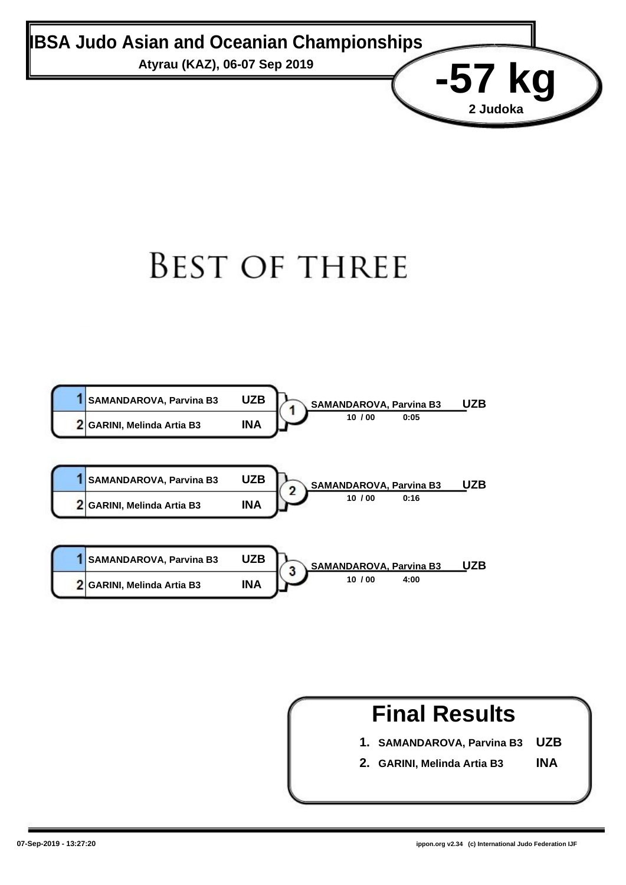Atyrau (KAZ), 06-07 Sep 2019<br> **-57 kg** 

# **BEST OF THREE**



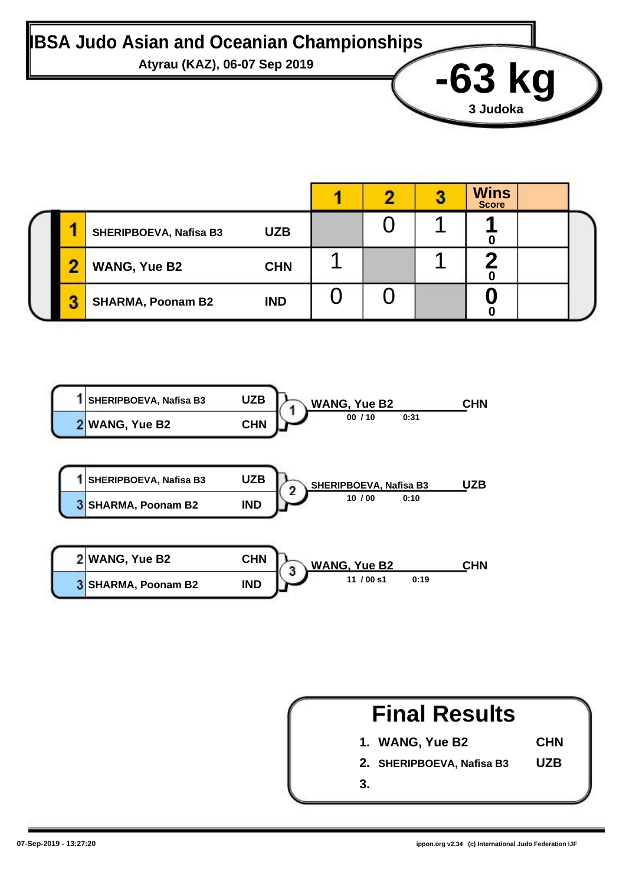

|   |                          |            |  | <b>Wins</b><br><b>Score</b> |  |
|---|--------------------------|------------|--|-----------------------------|--|
|   | SHERIPBOEVA, Nafisa B3   | <b>UZB</b> |  |                             |  |
|   | <b>WANG, Yue B2</b>      | <b>CHN</b> |  |                             |  |
| ш | <b>SHARMA, Poonam B2</b> | <b>IND</b> |  |                             |  |



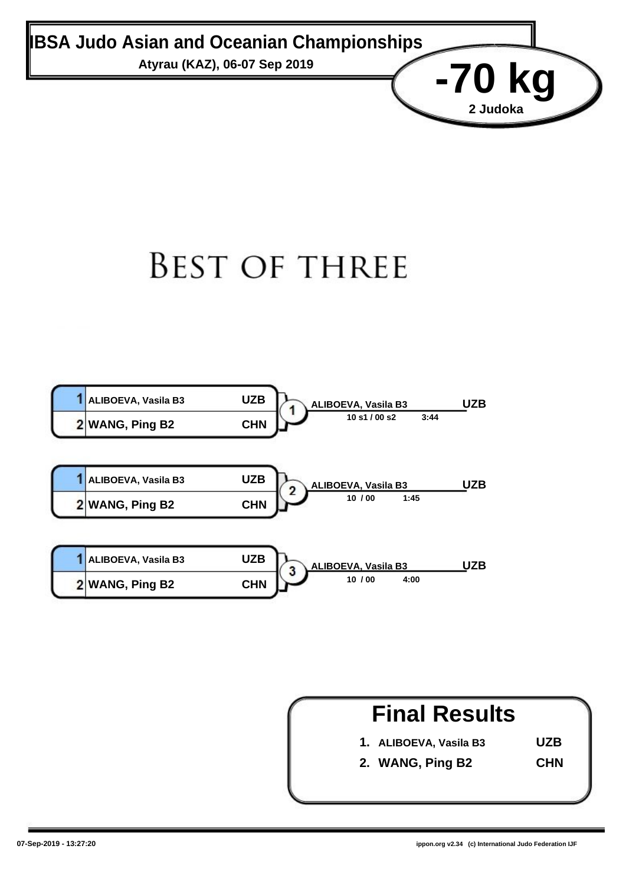Atyrau (KAZ), 06-07 Sep 2019<br>**-70 kg** 

# **BEST OF THREE**



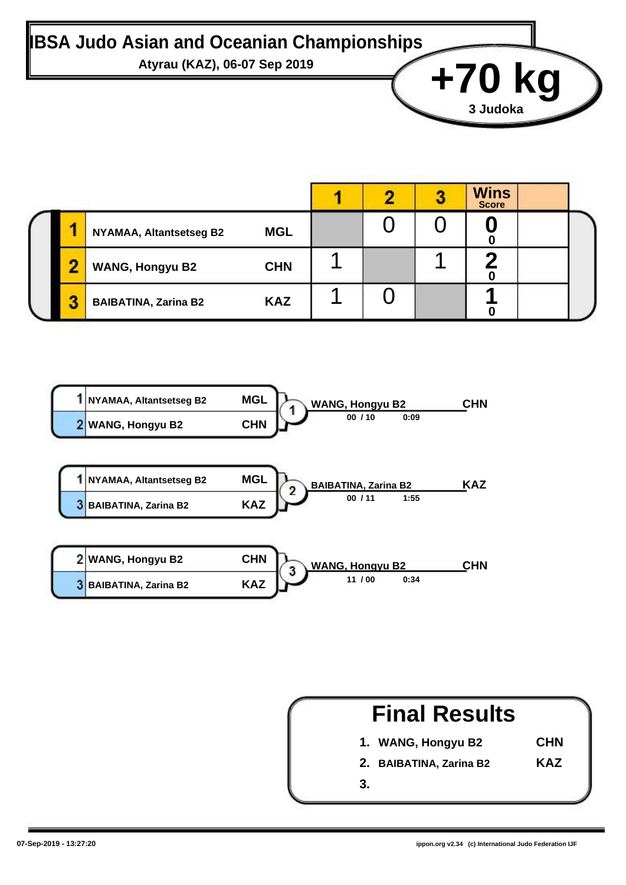# Atyrau (KAZ), 06-07 Sep 2019<br> **+70 kg**

|  |                                |            |  | <b>Wins</b><br><b>Score</b> |  |
|--|--------------------------------|------------|--|-----------------------------|--|
|  | <b>NYAMAA, Altantsetseg B2</b> | <b>MGL</b> |  |                             |  |
|  | <b>WANG, Hongyu B2</b>         | <b>CHN</b> |  |                             |  |
|  | <b>BAIBATINA, Zarina B2</b>    | <b>KAZ</b> |  |                             |  |



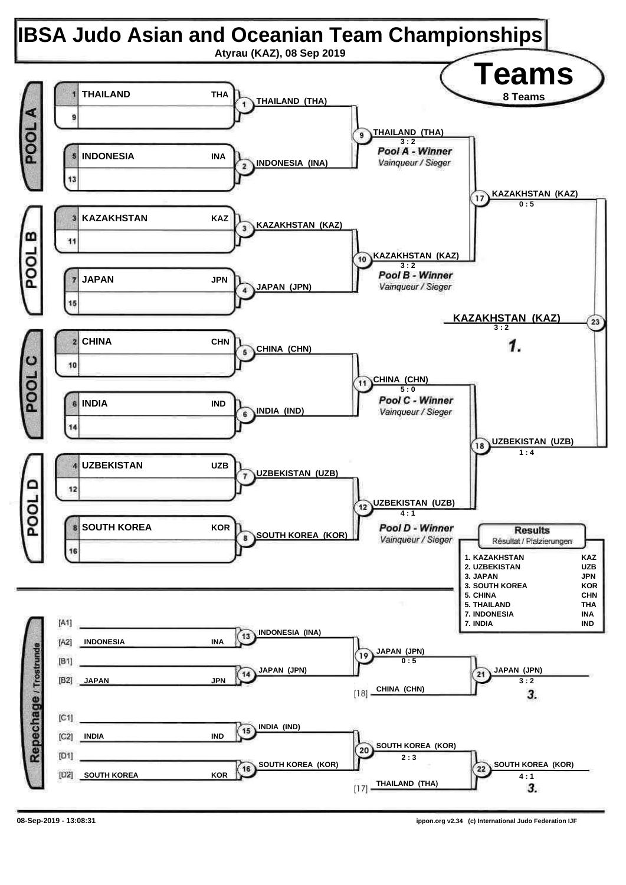